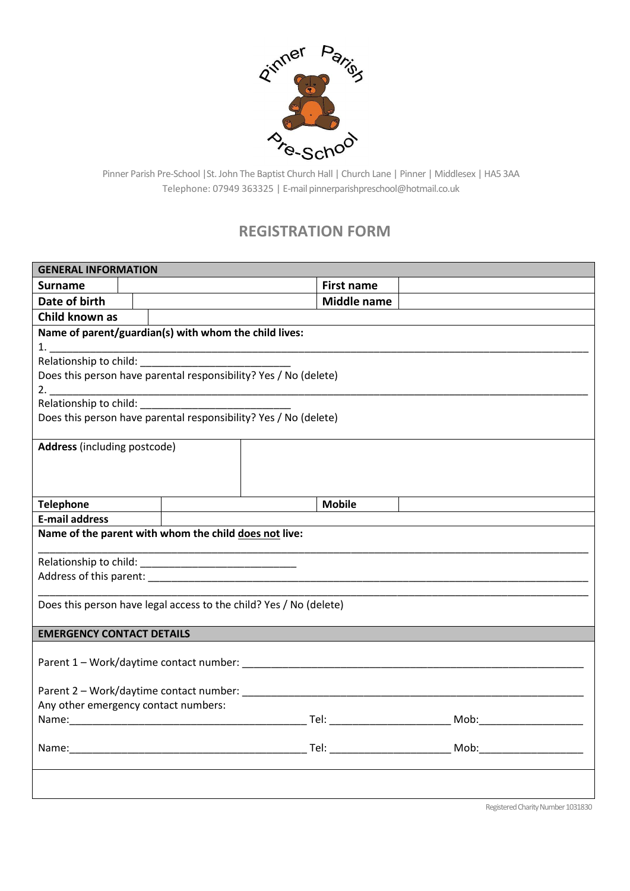

Pinner Parish Pre-School |St. John The Baptist Church Hall | Church Lane | Pinner | Middlesex | HA5 3AA Telephone: 07949 363325 | E-mail pinnerparishpreschool@hotmail.co.uk

## **REGISTRATION FORM**

| <b>GENERAL INFORMATION</b>                                         |                    |  |  |  |  |
|--------------------------------------------------------------------|--------------------|--|--|--|--|
| <b>Surname</b>                                                     | <b>First name</b>  |  |  |  |  |
| Date of birth                                                      | <b>Middle name</b> |  |  |  |  |
| Child known as                                                     |                    |  |  |  |  |
| Name of parent/guardian(s) with whom the child lives:              |                    |  |  |  |  |
|                                                                    |                    |  |  |  |  |
|                                                                    |                    |  |  |  |  |
| Does this person have parental responsibility? Yes / No (delete)   |                    |  |  |  |  |
|                                                                    |                    |  |  |  |  |
| Does this person have parental responsibility? Yes / No (delete)   |                    |  |  |  |  |
|                                                                    |                    |  |  |  |  |
| Address (including postcode)                                       |                    |  |  |  |  |
|                                                                    |                    |  |  |  |  |
|                                                                    |                    |  |  |  |  |
|                                                                    |                    |  |  |  |  |
| <b>Telephone</b>                                                   | <b>Mobile</b>      |  |  |  |  |
| <b>E-mail address</b>                                              |                    |  |  |  |  |
| Name of the parent with whom the child does not live:              |                    |  |  |  |  |
|                                                                    |                    |  |  |  |  |
|                                                                    |                    |  |  |  |  |
|                                                                    |                    |  |  |  |  |
| Does this person have legal access to the child? Yes / No (delete) |                    |  |  |  |  |
|                                                                    |                    |  |  |  |  |
| <b>EMERGENCY CONTACT DETAILS</b>                                   |                    |  |  |  |  |
|                                                                    |                    |  |  |  |  |
|                                                                    |                    |  |  |  |  |
|                                                                    |                    |  |  |  |  |
| Any other emergency contact numbers:                               |                    |  |  |  |  |
|                                                                    |                    |  |  |  |  |
|                                                                    |                    |  |  |  |  |
|                                                                    |                    |  |  |  |  |
|                                                                    |                    |  |  |  |  |
|                                                                    |                    |  |  |  |  |
|                                                                    |                    |  |  |  |  |

Registered Charity Number 1031830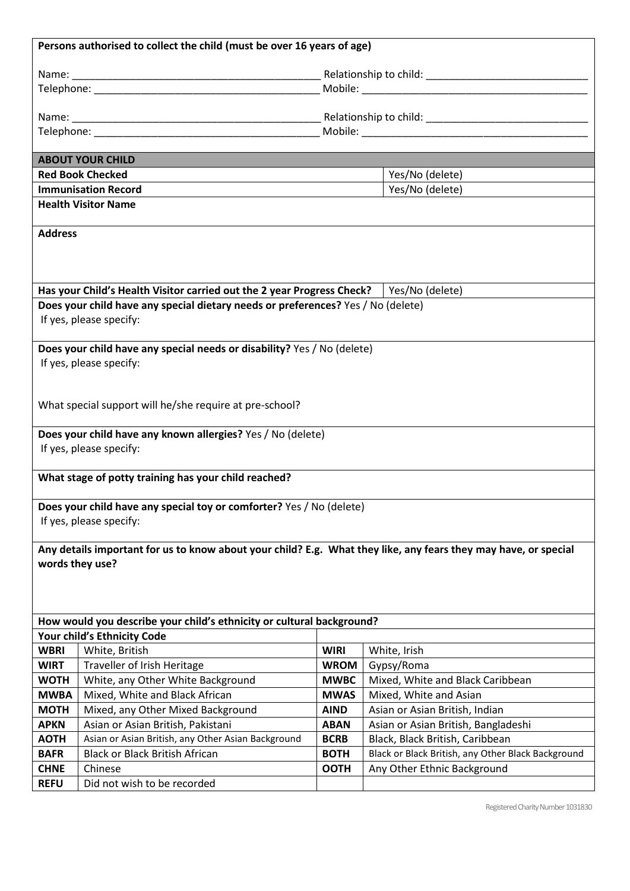|                                                                       | Persons authorised to collect the child (must be over 16 years of age)                                          |             |                                                    |  |  |
|-----------------------------------------------------------------------|-----------------------------------------------------------------------------------------------------------------|-------------|----------------------------------------------------|--|--|
|                                                                       |                                                                                                                 |             |                                                    |  |  |
|                                                                       |                                                                                                                 |             |                                                    |  |  |
|                                                                       |                                                                                                                 |             |                                                    |  |  |
|                                                                       |                                                                                                                 |             |                                                    |  |  |
|                                                                       |                                                                                                                 |             |                                                    |  |  |
|                                                                       |                                                                                                                 |             |                                                    |  |  |
|                                                                       | <b>ABOUT YOUR CHILD</b>                                                                                         |             |                                                    |  |  |
|                                                                       | <b>Red Book Checked</b>                                                                                         |             | Yes/No (delete)                                    |  |  |
|                                                                       | <b>Immunisation Record</b>                                                                                      |             | Yes/No (delete)                                    |  |  |
|                                                                       | <b>Health Visitor Name</b>                                                                                      |             |                                                    |  |  |
|                                                                       |                                                                                                                 |             |                                                    |  |  |
| <b>Address</b>                                                        |                                                                                                                 |             |                                                    |  |  |
|                                                                       |                                                                                                                 |             |                                                    |  |  |
|                                                                       |                                                                                                                 |             |                                                    |  |  |
|                                                                       |                                                                                                                 |             |                                                    |  |  |
|                                                                       | Has your Child's Health Visitor carried out the 2 year Progress Check?                                          |             | Yes/No (delete)                                    |  |  |
|                                                                       | Does your child have any special dietary needs or preferences? Yes / No (delete)                                |             |                                                    |  |  |
|                                                                       | If yes, please specify:                                                                                         |             |                                                    |  |  |
|                                                                       |                                                                                                                 |             |                                                    |  |  |
|                                                                       | Does your child have any special needs or disability? Yes / No (delete)                                         |             |                                                    |  |  |
|                                                                       | If yes, please specify:                                                                                         |             |                                                    |  |  |
|                                                                       |                                                                                                                 |             |                                                    |  |  |
|                                                                       |                                                                                                                 |             |                                                    |  |  |
|                                                                       | What special support will he/she require at pre-school?                                                         |             |                                                    |  |  |
|                                                                       |                                                                                                                 |             |                                                    |  |  |
|                                                                       | Does your child have any known allergies? Yes / No (delete)<br>If yes, please specify:                          |             |                                                    |  |  |
|                                                                       |                                                                                                                 |             |                                                    |  |  |
|                                                                       | What stage of potty training has your child reached?                                                            |             |                                                    |  |  |
|                                                                       |                                                                                                                 |             |                                                    |  |  |
|                                                                       | Does your child have any special toy or comforter? Yes / No (delete)                                            |             |                                                    |  |  |
|                                                                       | If yes, please specify:                                                                                         |             |                                                    |  |  |
|                                                                       |                                                                                                                 |             |                                                    |  |  |
|                                                                       | Any details important for us to know about your child? E.g. What they like, any fears they may have, or special |             |                                                    |  |  |
| words they use?                                                       |                                                                                                                 |             |                                                    |  |  |
|                                                                       |                                                                                                                 |             |                                                    |  |  |
|                                                                       |                                                                                                                 |             |                                                    |  |  |
|                                                                       |                                                                                                                 |             |                                                    |  |  |
| How would you describe your child's ethnicity or cultural background? |                                                                                                                 |             |                                                    |  |  |
| Your child's Ethnicity Code                                           |                                                                                                                 |             |                                                    |  |  |
| <b>WBRI</b>                                                           | White, British                                                                                                  | <b>WIRI</b> | White, Irish                                       |  |  |
| <b>WIRT</b>                                                           | Traveller of Irish Heritage                                                                                     | <b>WROM</b> | Gypsy/Roma                                         |  |  |
| <b>WOTH</b>                                                           | White, any Other White Background                                                                               | <b>MWBC</b> | Mixed, White and Black Caribbean                   |  |  |
| <b>MWBA</b>                                                           | Mixed, White and Black African                                                                                  | <b>MWAS</b> | Mixed, White and Asian                             |  |  |
| <b>MOTH</b>                                                           | Mixed, any Other Mixed Background                                                                               | <b>AIND</b> | Asian or Asian British, Indian                     |  |  |
| <b>APKN</b>                                                           | Asian or Asian British, Pakistani                                                                               | <b>ABAN</b> | Asian or Asian British, Bangladeshi                |  |  |
| <b>AOTH</b>                                                           | Asian or Asian British, any Other Asian Background                                                              | <b>BCRB</b> | Black, Black British, Caribbean                    |  |  |
| <b>BAFR</b>                                                           | <b>Black or Black British African</b>                                                                           | <b>BOTH</b> | Black or Black British, any Other Black Background |  |  |
| <b>CHNE</b>                                                           | Chinese                                                                                                         | <b>OOTH</b> | Any Other Ethnic Background                        |  |  |
| <b>REFU</b>                                                           | Did not wish to be recorded                                                                                     |             |                                                    |  |  |

Registered Charity Number 1031830